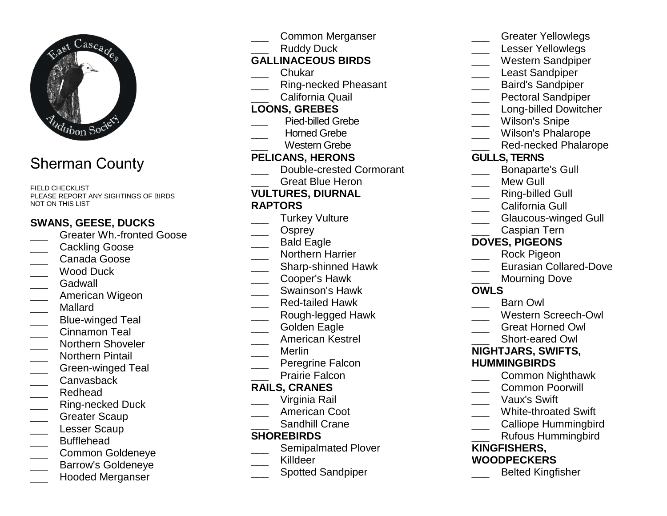

# Sherman County

FIELD CHECKLIST PLEASE REPORT ANY SIGHTINGS OF BIRDS NOT ON THIS LIST

## **SWANS, GEESE, DUCKS**

- \_\_\_ Greater Wh.-fronted Goose
- \_\_\_ Cackling Goose
- \_\_\_ Canada Goose
- Wood Duck
- Gadwall
- \_\_\_ American Wigeon
- \_\_\_ Mallard
- \_\_\_ Blue-winged Teal
- \_\_\_ Cinnamon Teal
- \_\_\_ Northern Shoveler
- \_\_\_ Northern Pintail
- \_\_\_ Green-winged Teal
- Canvasback
- \_\_\_ Redhead
- \_\_\_ Ring-necked Duck
- \_\_\_ Greater Scaup
- \_\_\_ Lesser Scaup
- \_\_\_ Bufflehead
- \_\_\_ Common Goldeneye
- \_\_\_ Barrow's Goldeneye
- \_\_\_ Hooded Merganser
- \_\_\_ Common Merganser
- Ruddy Duck

# **GALLINACEOUS BIRDS**

- \_\_\_ Chukar
- \_\_\_ Ring-necked Pheasant
- California Quail

### **LOONS, GREBES**

- **\_\_\_** Pied-billed Grebe
- Horned Grebe
	- \_\_\_ Western Grebe

### **PELICANS, HERONS**

- \_\_\_ Double-crested Cormorant
- Great Blue Heron

### **VULTURES, DIURNAL**

#### **RAPTORS**

- \_\_\_ Turkey Vulture
- Osprey
- \_\_\_ Bald Eagle
- **Northern Harrier**
- \_\_\_ Sharp-shinned Hawk
- \_\_\_ Cooper's Hawk
- \_\_\_ Swainson's Hawk
- \_\_\_ Red-tailed Hawk
- \_\_\_ Rough-legged Hawk
- Golden Eagle
- \_\_\_ American Kestrel
- \_\_\_ Merlin
- \_\_\_ Peregrine Falcon
- Prairie Falcon

### **RAILS, CRANES**

- \_\_\_ Virginia Rail
- \_\_\_ American Coot
- \_\_\_ Sandhill Crane

### **SHOREBIRDS**

- \_\_\_ Semipalmated Plover
- Killdeer
- \_\_\_ Spotted Sandpiper

#### \_\_\_ Greater Yellowlegs

- Lesser Yellowlegs
- \_\_\_ Western Sandpiper
- **Least Sandpiper**
- \_\_\_ Baird's Sandpiper
- \_\_\_ Pectoral Sandpiper
- **Long-billed Dowitcher**
- Wilson's Snipe
- \_\_\_ Wilson's Phalarope
- **EXEC** Red-necked Phalarope

### **GULLS, TERNS**

- \_\_\_ Bonaparte's Gull
- Mew Gull
- \_\_\_ Ring-billed Gull
- California Gull
- \_\_\_ Glaucous-winged Gull
- \_\_\_ Caspian Tern

#### **DOVES, PIGEONS**

- \_\_\_ Rock Pigeon
- **Lacky** Eurasian Collared-Dove
	- Mourning Dove
- **OWLS**
- \_\_\_ Barn Owl
- \_\_\_ Western Screech-Owl
- \_\_\_ Great Horned Owl
	- \_\_\_ Short-eared Owl

### **NIGHTJARS, SWIFTS,**

#### **HUMMINGBIRDS**

- \_\_\_ Common Nighthawk
- \_\_\_ Common Poorwill
- \_\_\_ Vaux's Swift
- \_\_\_ White-throated Swift
- \_\_\_ Calliope Hummingbird
	- \_\_\_ Rufous Hummingbird

# **KINGFISHERS,**

### **WOODPECKERS**

\_\_\_ Belted Kingfisher